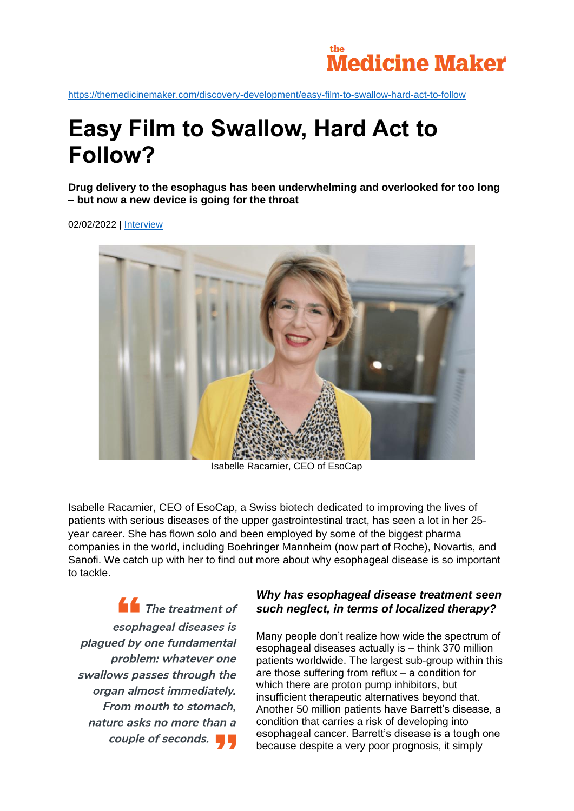

<https://themedicinemaker.com/discovery-development/easy-film-to-swallow-hard-act-to-follow>

# **Easy Film to Swallow, Hard Act to Follow?**

**Drug delivery to the esophagus has been underwhelming and overlooked for too long – but now a new device is going for the throat**

02/02/2022 | [Interview](https://themedicinemaker.com/search?q=%2A&tx_solr%5Bfilter%5D%5B0%5D=assetType%3AInterview&cHash=e0d08f46a386e4de56956ee0af8c4ee1)



Isabelle Racamier, CEO of EsoCap

Isabelle Racamier, CEO of EsoCap, a Swiss biotech dedicated to improving the lives of patients with serious diseases of the upper gastrointestinal tract, has seen a lot in her 25 year career. She has flown solo and been employed by some of the biggest pharma companies in the world, including Boehringer Mannheim (now part of Roche), Novartis, and Sanofi. We catch up with her to find out more about why esophageal disease is so important to tackle.

 $\blacksquare$  The treatment of esophageal diseases is plagued by one fundamental problem: whatever one swallows passes through the organ almost immediately. From mouth to stomach. nature asks no more than a couple of seconds.

## *Why has esophageal disease treatment seen such neglect, in terms of localized therapy?*

Many people don't realize how wide the spectrum of esophageal diseases actually is – think 370 million patients worldwide. The largest sub-group within this are those suffering from reflux – a condition for which there are proton pump inhibitors, but insufficient therapeutic alternatives beyond that. Another 50 million patients have Barrett's disease, a condition that carries a risk of developing into esophageal cancer. Barrett's disease is a tough one because despite a very poor prognosis, it simply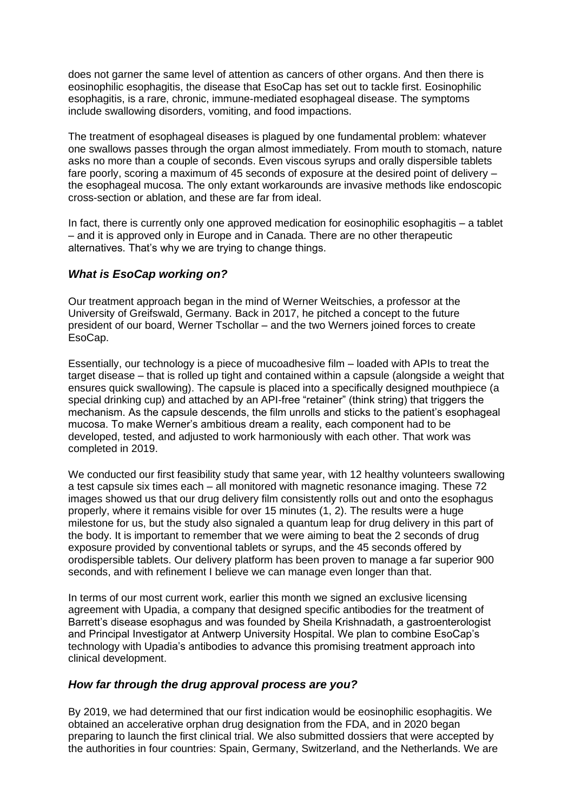does not garner the same level of attention as cancers of other organs. And then there is eosinophilic esophagitis, the disease that EsoCap has set out to tackle first. Eosinophilic esophagitis, is a rare, chronic, immune-mediated esophageal disease. The symptoms include swallowing disorders, vomiting, and food impactions.

The treatment of esophageal diseases is plagued by one fundamental problem: whatever one swallows passes through the organ almost immediately. From mouth to stomach, nature asks no more than a couple of seconds. Even viscous syrups and orally dispersible tablets fare poorly, scoring a maximum of 45 seconds of exposure at the desired point of delivery – the esophageal mucosa. The only extant workarounds are invasive methods like endoscopic cross-section or ablation, and these are far from ideal.

In fact, there is currently only one approved medication for eosinophilic esophagitis – a tablet – and it is approved only in Europe and in Canada. There are no other therapeutic alternatives. That's why we are trying to change things.

### *What is EsoCap working on?*

Our treatment approach began in the mind of Werner Weitschies, a professor at the University of Greifswald, Germany. Back in 2017, he pitched a concept to the future president of our board, Werner Tschollar – and the two Werners joined forces to create EsoCap.

Essentially, our technology is a piece of mucoadhesive film – loaded with APIs to treat the target disease – that is rolled up tight and contained within a capsule (alongside a weight that ensures quick swallowing). The capsule is placed into a specifically designed mouthpiece (a special drinking cup) and attached by an API-free "retainer" (think string) that triggers the mechanism. As the capsule descends, the film unrolls and sticks to the patient's esophageal mucosa. To make Werner's ambitious dream a reality, each component had to be developed, tested, and adjusted to work harmoniously with each other. That work was completed in 2019.

We conducted our first feasibility study that same year, with 12 healthy volunteers swallowing a test capsule six times each – all monitored with magnetic resonance imaging. These 72 images showed us that our drug delivery film consistently rolls out and onto the esophagus properly, where it remains visible for over 15 minutes (1, 2). The results were a huge milestone for us, but the study also signaled a quantum leap for drug delivery in this part of the body. It is important to remember that we were aiming to beat the 2 seconds of drug exposure provided by conventional tablets or syrups, and the 45 seconds offered by orodispersible tablets. Our delivery platform has been proven to manage a far superior 900 seconds, and with refinement I believe we can manage even longer than that.

In terms of our most current work, earlier this month we signed an exclusive licensing agreement with Upadia, a company that designed specific antibodies for the treatment of Barrett's disease esophagus and was founded by Sheila Krishnadath, a gastroenterologist and Principal Investigator at Antwerp University Hospital. We plan to combine EsoCap's technology with Upadia's antibodies to advance this promising treatment approach into clinical development.

### *How far through the drug approval process are you?*

By 2019, we had determined that our first indication would be eosinophilic esophagitis. We obtained an accelerative orphan drug designation from the FDA, and in 2020 began preparing to launch the first clinical trial. We also submitted dossiers that were accepted by the authorities in four countries: Spain, Germany, Switzerland, and the Netherlands. We are